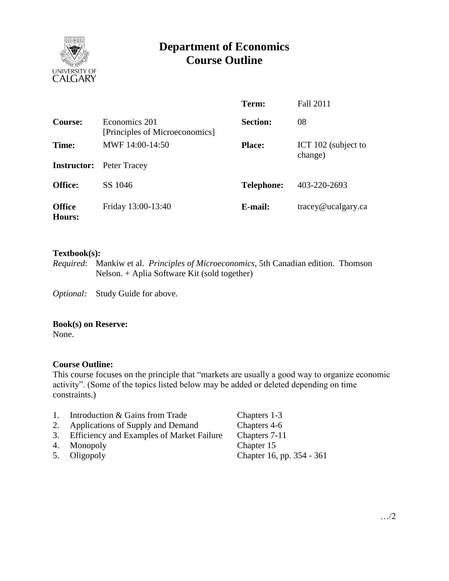

# **Department of Economics Course Outline**

|                                |                                                 | Term:             | <b>Fall 2011</b>               |
|--------------------------------|-------------------------------------------------|-------------------|--------------------------------|
| Course:                        | Economics 201<br>[Principles of Microeconomics] | <b>Section:</b>   | 08                             |
| Time:                          | MWF 14:00-14:50                                 | <b>Place:</b>     | ICT 102 (subject to<br>change) |
| <b>Instructor:</b>             | Peter Tracey                                    |                   |                                |
| <b>Office:</b>                 | SS 1046                                         | <b>Telephone:</b> | 403-220-2693                   |
| <b>Office</b><br><b>Hours:</b> | Friday 13:00-13:40                              | E-mail:           | tracey@ucalgary.ca             |

### **Textbook(s):**

*Required*: Mankiw et al. *Principles of Microeconomics*, 5th Canadian edition. Thomson Nelson. + Aplia Software Kit (sold together)

*Optional:* Study Guide for above.

### **Book(s) on Reserve:**

None.

# **Course Outline:**

This course focuses on the principle that "markets are usually a good way to organize economic activity". (Some of the topics listed below may be added or deleted depending on time constraints.)

- 1. Introduction & Gains from Trade Chapters 1-3
- 2. Applications of Supply and Demand Chapters 4-6
- 3. Efficiency and Examples of Market Failure Chapters 7-11
- 
- 

4. Monopoly Chapter 15<br>5. Oligopoly Chapter 16, 5. Oligopoly Chapter 16, pp. 354 - 361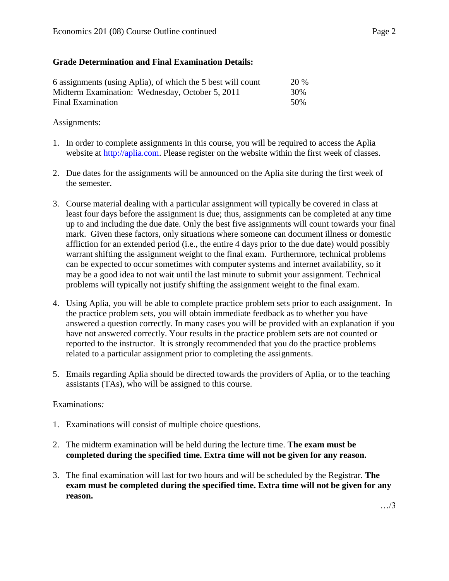# **Grade Determination and Final Examination Details:**

| 6 assignments (using Aplia), of which the 5 best will count | <b>20 %</b> |
|-------------------------------------------------------------|-------------|
| Midterm Examination: Wednesday, October 5, 2011             | 30%         |
| Final Examination                                           | 50%         |

# Assignments:

- 1. In order to complete assignments in this course, you will be required to access the Aplia website at [http://aplia.com.](http://aplia.com/) Please register on the website within the first week of classes.
- 2. Due dates for the assignments will be announced on the Aplia site during the first week of the semester.
- 3. Course material dealing with a particular assignment will typically be covered in class at least four days before the assignment is due; thus, assignments can be completed at any time up to and including the due date. Only the best five assignments will count towards your final mark. Given these factors, only situations where someone can document illness or domestic affliction for an extended period (i.e., the entire 4 days prior to the due date) would possibly warrant shifting the assignment weight to the final exam. Furthermore, technical problems can be expected to occur sometimes with computer systems and internet availability, so it may be a good idea to not wait until the last minute to submit your assignment. Technical problems will typically not justify shifting the assignment weight to the final exam.
- 4. Using Aplia, you will be able to complete practice problem sets prior to each assignment. In the practice problem sets, you will obtain immediate feedback as to whether you have answered a question correctly. In many cases you will be provided with an explanation if you have not answered correctly. Your results in the practice problem sets are not counted or reported to the instructor. It is strongly recommended that you do the practice problems related to a particular assignment prior to completing the assignments.
- 5. Emails regarding Aplia should be directed towards the providers of Aplia, or to the teaching assistants (TAs), who will be assigned to this course.

# Examinations*:*

- 1. Examinations will consist of multiple choice questions.
- 2. The midterm examination will be held during the lecture time. **The exam must be completed during the specified time. Extra time will not be given for any reason.**
- 3. The final examination will last for two hours and will be scheduled by the Registrar. **The exam must be completed during the specified time. Extra time will not be given for any reason.**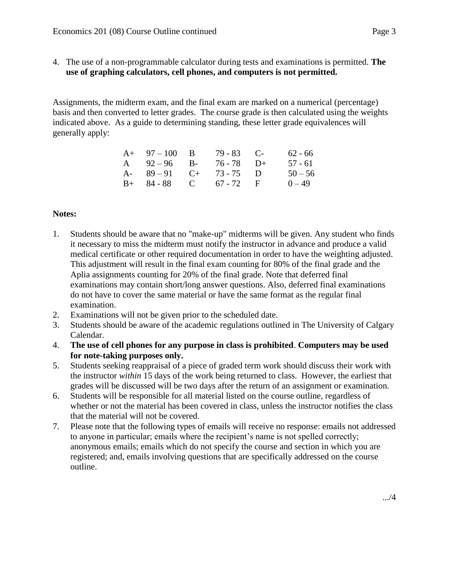- 4. The use of a non-programmable calculator during tests and examinations is permitted. **The** 
	- **use of graphing calculators, cell phones, and computers is not permitted.**

Assignments, the midterm exam, and the final exam are marked on a numerical (percentage) basis and then converted to letter grades. The course grade is then calculated using the weights indicated above. As a guide to determining standing, these letter grade equivalences will generally apply:

| $A+ 97-100 B$           | $79 - 83$ C- | $62 - 66$ |
|-------------------------|--------------|-----------|
| A $92-96$ B- $76-78$ D+ |              | 57 - 61   |
| A- $89-91$ C+ 73-75 D   |              | $50 - 56$ |
| $B+ 84-88$ C 67 - 72 F  |              | $0 - 49$  |

## **Notes:**

- 1. Students should be aware that no "make-up" midterms will be given. Any student who finds it necessary to miss the midterm must notify the instructor in advance and produce a valid medical certificate or other required documentation in order to have the weighting adjusted. This adjustment will result in the final exam counting for 80% of the final grade and the Aplia assignments counting for 20% of the final grade. Note that deferred final examinations may contain short/long answer questions. Also, deferred final examinations do not have to cover the same material or have the same format as the regular final examination.
- 2. Examinations will not be given prior to the scheduled date.
- 3. Students should be aware of the academic regulations outlined in The University of Calgary Calendar.
- 4. **The use of cell phones for any purpose in class is prohibited**. **Computers may be used for note-taking purposes only.**
- 5. Students seeking reappraisal of a piece of graded term work should discuss their work with the instructor *within* 15 days of the work being returned to class. However, the earliest that grades will be discussed will be two days after the return of an assignment or examination.
- 6. Students will be responsible for all material listed on the course outline, regardless of whether or not the material has been covered in class, unless the instructor notifies the class that the material will not be covered.
- 7. Please note that the following types of emails will receive no response: emails not addressed to anyone in particular; emails where the recipient's name is not spelled correctly; anonymous emails; emails which do not specify the course and section in which you are registered; and, emails involving questions that are specifically addressed on the course outline.